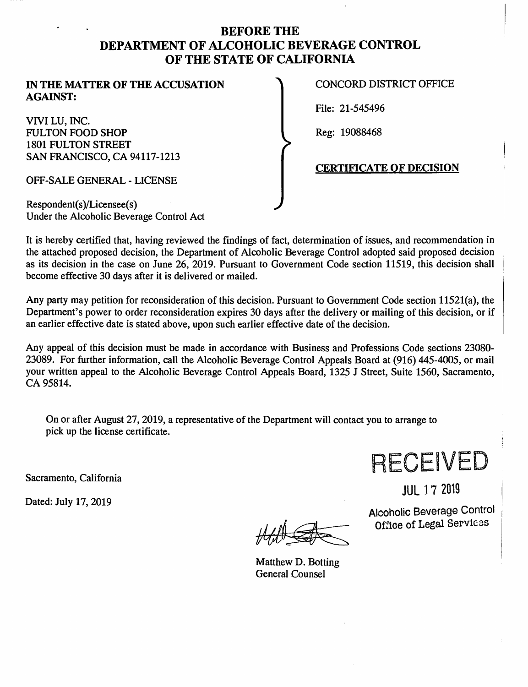## **BEFORE THE DEPARTMENT OF ALCOHOLIC BEVERAGE CONTROL OF THE STATE OF CALIFORNIA**

#### **IN THE MATTER OF THE ACCUSATION AGAINST:**

VIVI LU, INC. FULTON FOOD SHOP 1801 FULTON STREET SAN FRANCISCO, CA 94117-1213

OFF-SALE GENERAL - LICENSE

Respondent(s)/Licensee(s) Under the Alcoholic Beverage Control Act CONCORD DISTRICT OFFICE

File: 21-545496

Reg: 19088468

#### **CERTIFICATE OF DECISION**

It is hereby certified that, having reviewed the findings of fact, determination of issues, and recommendation in the attached proposed decision, the Department of Alcoholic Beverage Control adopted said proposed decision as its decision in the case on June 26, 2019. Pursuant to Government Code section 11519, this decision shall become effective 30 days after it is delivered or mailed.

Any party may petition for reconsideration of this decision. Pursuant to Government Code section 11521(a), the Department's power to order reconsideration expires 30 days after the delivery or mailing of this decision, or if an earlier effective date is stated above, upon such earlier effective date of the decision.

Any appeal of this decision must be made in accordance with Business and Professions Code sections 23080- 23089. For further information, call the Alcoholic Beverage Control Appeals Board at (916) 445-4005, or mail your written appeal to the Alcoholic Beverage Control Appeals Board, 1325 J Street, Suite 1560, Sacramento, CA 95814.

On or after August 27, 2019, a representative of the Department will contact you to arrange to pick up the license certificate.

Sacramento, California

Dated: July 17, 2019

Matthew D. Botting General Counsel



JUL 1 7 2019

Alcoholic Beverage Control Office of Legal Services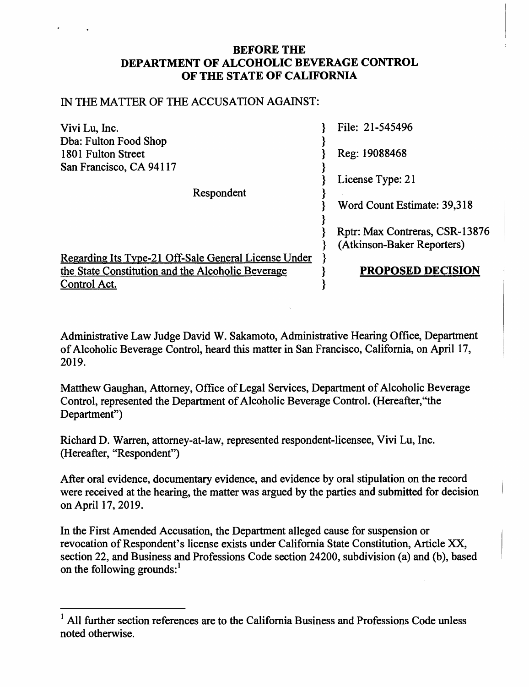### **BEFORE THE DEPARTMENT OF ALCOHOLIC BEVERAGE CONTROL OF THE STATE OF CALIFORNIA**

#### IN THE MATTER OF THE ACCUSATION AGAINST:

| Vivi Lu, Inc.                                        | File: 21-545496                |
|------------------------------------------------------|--------------------------------|
| Dba: Fulton Food Shop                                |                                |
| 1801 Fulton Street                                   | Reg: 19088468                  |
| San Francisco, CA 94117                              |                                |
|                                                      | License Type: 21               |
| Respondent                                           |                                |
|                                                      | Word Count Estimate: 39,318    |
|                                                      |                                |
|                                                      | Rptr: Max Contreras, CSR-13876 |
|                                                      | (Atkinson-Baker Reporters)     |
| Regarding Its Type-21 Off-Sale General License Under |                                |
| the State Constitution and the Alcoholic Beverage    | <b>PROPOSED DECISION</b>       |
| Control Act.                                         |                                |

Administrative Law Judge David W. Sakamoto, Administrative Hearing Office, Department of Alcoholic Beverage Control, heard this matter in San Francisco, California, on April 17, 2019.

Matthew Gaughan, Attorney, Office of Legal Services, Department of Alcoholic Beverage Control, represented the Department of Alcoholic Beverage Control. (Hereafter, "the Department")

Richard D. Warren, attorney-at-law, represented respondent-licensee, Vivi Lu, Inc. (Hereafter, "Respondent")

After oral evidence, documentary evidence, and evidence by oral stipulation on the record were received at the hearing, the matter was argued by the parties and submitted for decision on April 17, 2019.

In the First Amended Accusation, the Department alleged cause for suspension or revocation of Respondent's license exists under California State Constitution, Article XX, section 22, and Business and Professions Code section 24200, subdivision (a) and (b), based on the following grounds: $<sup>1</sup>$ </sup>

 $<sup>1</sup>$  All further section references are to the California Business and Professions Code unless</sup> noted otherwise.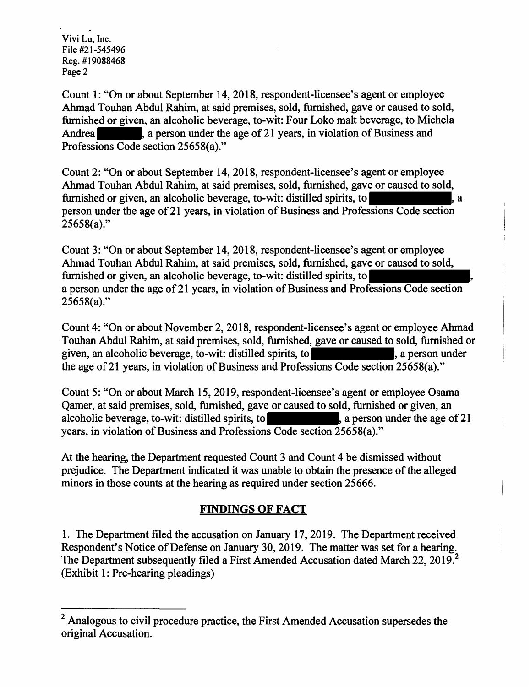Count 1: ''On or about September 14, 2018, respondent-licensee's agent or employee Ahmad Touhan Abdul Rahim, at said premises, sold, furnished, gave or caused to sold, furnished or given, an alcoholic beverage, to-wit: Four Loko malt beverage, to Michela Andrea , a person under the age of 21 years, in violation of Business and Professions Code section 25658(a)."

Count 2: "On or about September 14, 2018, respondent-licensee's agent or employee Ahmad Touhan Abdul Rahim, at said premises, sold, furnished, gave or caused to sold, furnished or given, an alcoholic beverage, to-wit: distilled spirits, to , a person under the age of 21 years, in violation of Business and Professions Code section  $25658(a)$ ."

Count 3: "On or about September 14, 2018, respondent-licensee's agent or employee Ahmad Touhan Abdul Rahim, at said premises, sold, furnished, gave or caused to sold, furnished or given, an alcoholic beverage, to-wit: distilled spirits, to a person under the age of 21 years, in violation of Business and Professions Code section 25658(a)."

Count 4: "On or about November 2, 2018, respondent-licensee's agent or employee Ahmad Touhan Abdul Rahim, at said premises, sold, furnished, gave or caused to sold, furnished or given, an alcoholic beverage, to-wit: distilled spirits, to  $\vert$ , a person under the age of 21 years, in violation of Business and Professions Code section 25658(a)."

Count 5: "On or about March 15, 2019, respondent-licensee's agent or employee Osama Qamer, at said premises, sold, furnished, gave or caused to sold, furnished or given, an alcoholic beverage, to-wit: distilled spirits, to  $\blacksquare$ , a person under the age of 21 years, in violation of Business and Professions Code section 25658(a)."

At the hearing, the Department requested Count 3 and Count 4 be dismissed without prejudice. The Department indicated it was unable to obtain the presence of the alleged minors in those counts at the hearing as required under section 25666.

# **FINDINGS OF FACT**

1. The Department filed the accusation on January 17, 2019. The Department received Respondent's Notice of Defense on January 30, 2019. The matter was set for a hearing. The Department subsequently filed a First Amended Accusation dated March 22, 2019.<sup>2</sup> (Exhibit 1: Pre-hearing pleadings)

<sup>&</sup>lt;sup>2</sup> Analogous to civil procedure practice, the First Amended Accusation supersedes the original Accusation.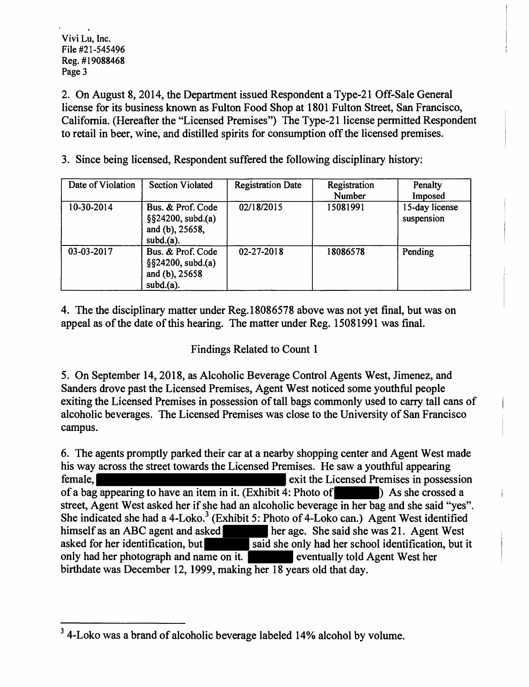2. On August 8, 2014, the Department issued Respondent a Type-21 Off-Sale General license for its business known as Fulton Food Shop at 1801 Fulton Street, San Francisco, California. (Hereafter the "Licensed Premises") The Type-21 license permitted Respondent to retail in beer, wine, and distilled spirits for consumption off the licensed premises.

3. Since being licensed, Respondent suffered the following disciplinary history:

| Date of Violation | <b>Section Violated</b>                                                     | <b>Registration Date</b> | Registration<br>Number | Penalty<br>Imposed           |
|-------------------|-----------------------------------------------------------------------------|--------------------------|------------------------|------------------------------|
| 10-30-2014        | Bus. & Prof. Code<br>$\S$ \$24200, subd.(a)<br>and (b), 25658,<br>subd.(a). | 02/18/2015               | 15081991               | 15-day license<br>suspension |
| 03-03-2017        | Bus. & Prof. Code<br>$\S$ \$24200, subd.(a)<br>and (b), 25658<br>subd.(a).  | 02-27-2018               | 18086578               | Pending                      |

4. The the disciplinary matter under Reg.18086578 above was not yet final, but was on appeal as of the date of this hearing. The matter under Reg. 15081991 was final.

# Findings Related to Count 1

5. On September 14, 2018, as Alcoholic Beverage Control Agents West, Jimenez, and Sanders drove past the Licensed Premises, Agent West noticed some youthful people exiting the Licensed Premises in possession of tall bags commonly used to carry tall cans of alcoholic beverages. The Licensed Premises was close to the University of San Francisco campus.

6. The agents promptly parked their car at a nearby shopping center and Agent West made his way across the street towards the Licensed Premises. He saw a youthful appearing female, exit the Licensed Premises in possession of a bag appearing to have an item in it. (Exhibit 4: Photo of ) As she crossed a street, Agent West asked her if she had an alcoholic beverage in her bag and she said "yes". She indicated she had a 4-Loko.<sup>3</sup> (Exhibit 5: Photo of 4-Loko can.) Agent West identified himself as an ABC agent and asked her age. She said she was 21. Agent West asked for her identification, but said she only had her school identification, but it only had her photograph and name on it. eventually told Agent West her birthdate was December 12, 1999, making her 18 years old that day.

<sup>&</sup>lt;sup>3</sup> 4-Loko was a brand of alcoholic beverage labeled 14% alcohol by volume.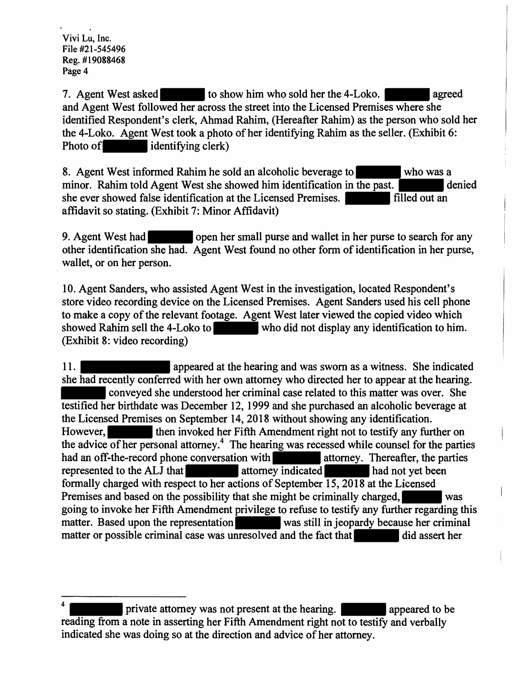7. Agent West asked to show him who sold her the 4-Loko. agreed and Agent West followed her across the street into the Licensed Premises where she identified Respondent's clerk, Ahmad Rahim, (Hereafter Rahim) as the person who sold her the 4-Loko. Agent West took a photo of her identifying Rahim as the seller. (Exhibit 6: Photo of identifying clerk)

8. Agent West informed Rahim he sold an alcoholic beverage to who was a minor. Rahim told Agent West she showed him identification in the past. she ever showed false identification at the Licensed Premises. **Filled out an** affidavit so stating. (Exhibit 7: Minor Affidavit)

9. Agent West had open her small purse and wallet in her purse to search for any other identification she had. Agent West found no other form of identification in her purse, wallet, or on her person.

10. Agent Sanders, who assisted Agent West in the investigation, located Respondent's store video recording device on the Licensed Premises. Agent Sanders used his cell phone to make a copy of the relevant footage. Agent West later viewed the copied video which showed Rahim sell the 4-Loko to who did not display any identification to him. (Exhibit 8: video recording)

11. **A appeared at the hearing and was sworn as a witness.** She indicated she had recently conferred with her own attorney who directed her to appear at the hearing. conveyed she understood her criminal case related to this matter was over. She testified her birthdate was December 12, 1999 and she purchased an alcoholic beverage at the Licensed Premises on September 14, 2018 without showing any identification. However, then invoked her Fifth Amendment right not to testify any further on the advice of her personal attorney.<sup>4</sup> The hearing was recessed while counsel for the parties had an off-the-record phone conversation with attorney. Thereafter, the parties represented to the ALJ that attorney indicated had not yet been formally charged with respect to her actions of September 15, 2018 at the Licensed Premises and based on the possibility that she might be criminally charged, was going to invoke her Fifth Amendment privilege to refuse to testify any further regarding this matter. Based upon the representation was still in jeopardy because her criminal matter or possible criminal case was unresolved and the fact that did assert her

private attorney was not present at the hearing. The appeared to be reading from a note in asserting her Fifth Amendment right not to testify and verbally indicated she was doing so at the direction and advice of her attorney.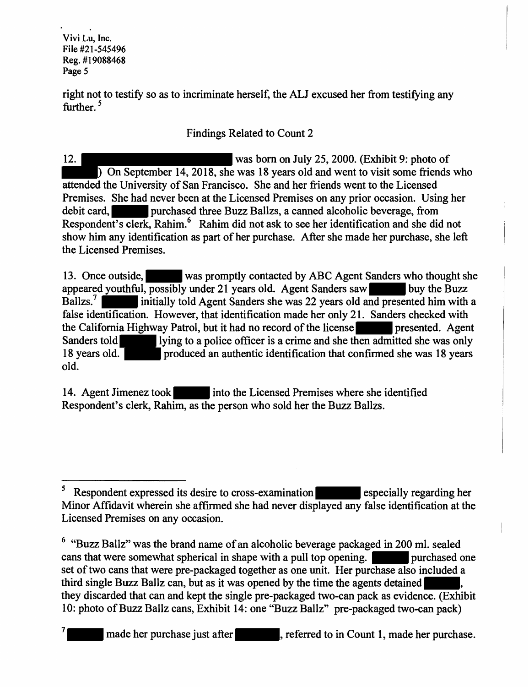right not to testify so as to incriminate herself, the ALJ excused her from testifying any further. *<sup>5</sup>*

# Findings Related to Count 2

12. was born on July 25, 2000. (Exhibit 9: photo of ) On September 14, 2018, she was 18 years old and went to visit some friends who attended the University of San Francisco. She and her friends went to the Licensed Premises. She had never been at the Licensed Premises on any prior occasion. Using her debit card, purchased three Buzz Ballzs, a canned alcoholic beverage, from Respondent's clerk, Rahim.<sup>6</sup> Rahim did not ask to see her identification and she did not show him any identification as part of her purchase. After she made her purchase, she left the Licensed Premises.

13. Once outside, was promptly contacted by ABC Agent Sanders who thought she appeared youthful, possibly under 21 years old. Agent Sanders saw buy the Buzz Ballzs.<sup>7</sup> initially told Agent Sanders she was 22 years old and presented him with a false identification. However, that identification made her only 21. Sanders checked with the California Highway Patrol, but it had no record of the license Sanders told lying to a police officer is a crime and she then admitted she was only 18 years old. **produced an authentic identification that confirmed she was 18 years** old.

14. Agent Jimenez took into the Licensed Premises where she identified Respondent's clerk, Rahim, as the person who sold her the Buzz Ballzs.

<sup>&</sup>lt;sup>5</sup> Respondent expressed its desire to cross-examination server sepecially regarding her Minor Affidavit wherein she affirmed she had never displayed any false identification at the Licensed Premises on any occasion.

<sup>6 &</sup>quot;Buzz Ballz" was the brand name of an alcoholic beverage packaged in 200 ml. sealed cans that were somewhat spherical in shape with a pull top opening. **purchased one** set of two cans that were pre-packaged together as one unit. Her purchase also included a third single Buzz Ballz can, but as it was opened by the time the agents detained they discarded that can and kept the single pre-packaged two-can pack as evidence. (Exhibit 10: photo of Buzz Ballz cans, Exhibit 14: one "Buzz Ballz" pre-packaged two-can pack)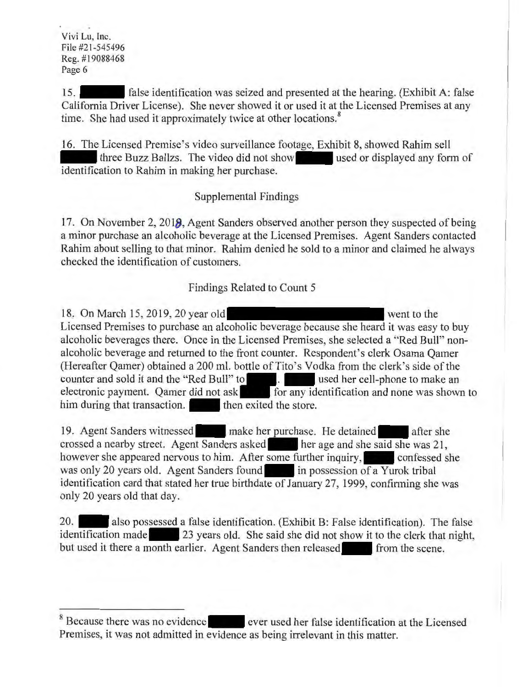15. false identification was seized and presented at the hearing. (Exhibit A: false California Driver License). She never showed it or used it at the Licensed Premises at any time. She had used it approximately twice at other locations.<sup>8</sup>

16. The Licensed Premise's video surveillance footage, Exhibit 8, showed Rahim sell three Buzz Ballzs. The video did not show used or displayed any form of identification to Rahim in making her purchase.

#### Supplemental Findings

17. On November 2, **2018,** Agent Sanders observed another person they suspected of being a minor purchase an alcoholic beverage at the Licensed Premises. Agent Sanders contacted Rahim about selling to that minor. Rahim denied he sold to a minor and claimed he always checked the identification of customers.

#### Findings Related to Count 5

18. On March 15, 2019, 20 year old went to the Licensed Premises to purchase an alcoholic beverage because she heard it was easy to buy alcoholic beverages there. Once in the Licensed Premises, she selected a "Red Bull" nonalcoholic beverage and returned to the front counter. Respondent's clerk Osama Qamer (Hereafter Qamer) obtained a 200 ml. bottle of Tito's Vodka from the clerk's side of the counter and sold it and the "Red Bull" to . used her cell-phone to make an electronic payment. Qamer did not ask for any identification and none was shown to him during that transaction. then exited the store.

19. Agent Sanders witnessed make her purchase. He detained after she crossed a nearby street. Agent Sanders asked her age and she said she was 21, however she appeared nervous to him. After some further inquiry, confessed she was only 20 years old. Agent Sanders found in possession of a Yurok tribal identification card that stated her true birthdate of January 27, 1999, confinning she was only 20 years old that day.

20. also possessed a false identification. (Exhibit B: False identification). The false identification made 23 years old. She said she did not show it to the clerk that night, but used it there a month earlier. Agent Sanders then released from the scene.

<sup>&</sup>lt;sup>8</sup> Because there was no evidence ever used her false identification at the Licensed Premises, it was not admitted in evidence as being irrelevant in this matter.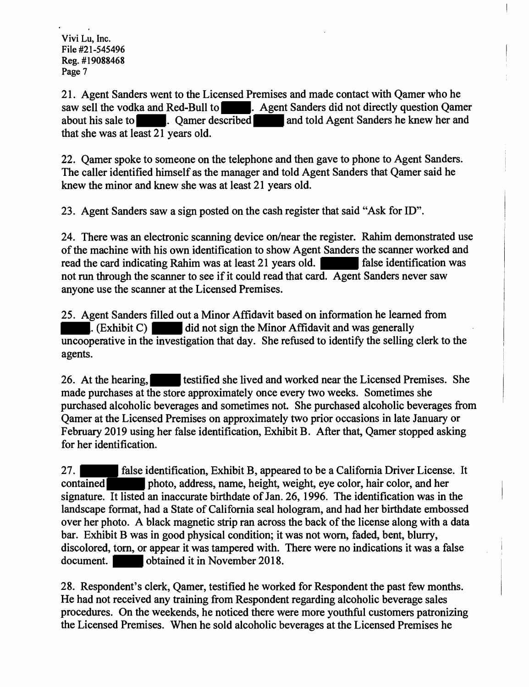21. Agent Sanders went to the Licensed Premises and made contact with Qamer who he saw sell the vodka and Red-Bull to . Agent Sanders did not directly question Oamer about his sale to **a contract and select and select in the same of the same of the same of the same of the same of the same of the same of the same of the same of the same of the same of the same of the same of the same of** that she was at least 21 years old.

22. Qamer spoke to someone on the telephone and then gave to phone to Agent Sanders. The caller identified himself as the manager and told Agent Sanders that Qamer said he knew the minor and knew she was at least 21 years old.

23. Agent Sanders saw a sign posted on the cash register that said "Ask for ID".

24. There was an electronic scanning device on/near the register. Rahim demonstrated use of the machine with his own identification to show Agent Sanders the scanner worked and read the card indicating Rahim was at least 21 years old. read the card indicating Rahim was at least 21 years old. not run through the scanner to see if it could read that card. Agent Sanders never saw anyone use the scanner at the Licensed Premises.

25. Agent Sanders filled out a Minor Affidavit based on information he learned from . (Exhibit C) did not sign the Minor Affidavit and was generally uncooperative in the investigation that day. She refused to identify the selling clerk to the agents.

26. At the hearing, the statified she lived and worked near the Licensed Premises. She made purchases at the store approximately once every two weeks. Sometimes she purchased alcoholic beverages and sometimes not. She purchased alcoholic beverages from Qamer at the Licensed Premises on approximately two prior occasions in late January or February 2019 using her false identification, Exhibit B. After that, Qamer stopped asking for her identification.

27. false identification, Exhibit B, appeared to be a California Driver License. It contained photo, address, name, height, weight, eye color, hair color, and her signature. It listed an inaccurate birthdate of Jan. 26, 1996. The identification was in the landscape format, had a State of California seal hologram, and had her birthdate embossed over her photo. A black magnetic strip ran across the back of the license along with a data bar. Exhibit B was in good physical condition; it was not worn, faded, bent, blurry, discolored, tom, or appear it was tampered with. There were no indications it was a false document. **obtained it in November 2018.** 

28. Respondent's clerk, Qamer, testified he worked for Respondent the past few months. He had not received any training from Respondent regarding alcoholic beverage sales procedures. On the weekends, he noticed there were more youthful customers patronizing the Licensed Premises. When he sold alcoholic beverages at the Licensed Premises he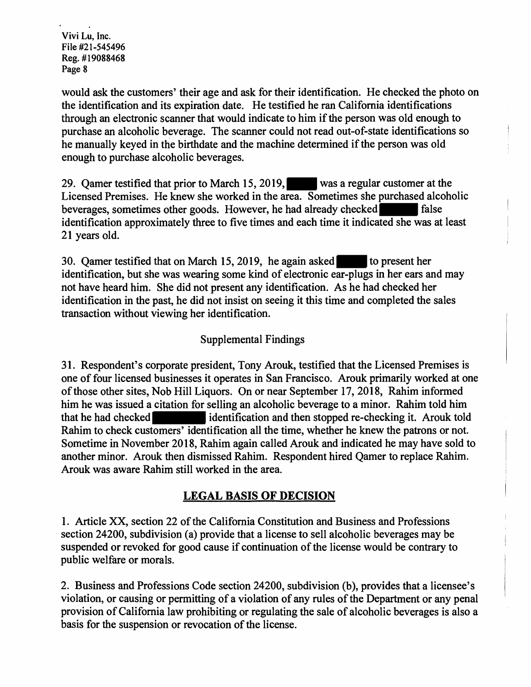would ask the customers' their age and ask for their identification. He checked the photo on the identification and its expiration date. He testified he ran California identifications through an electronic scanner that would indicate to him if the person was old enough to purchase an alcoholic beverage. The scanner could not read out-of-state identifications so he manually keyed in the birthdate and the machine determined if the person was old enough to purchase alcoholic beverages.

29. Qamer testified that prior to March 15, 2019, was a regular customer at the Licensed Premises. He knew she worked in the area. Sometimes she purchased alcoholic beverages, sometimes other goods. However, he had already checked false identification approximately three to five times and each time it indicated she was at least 21 years old.

30. Qamer testified that on March 15, 2019, he again asked to present her identification, but she was wearing some kind of electronic ear-plugs in her ears and may not have heard him. She did not present any identification. As he had checked her identification in the past, he did not insist on seeing it this time and completed the sales transaction without viewing her identification.

## Supplemental Findings

31. Respondent's corporate president, Tony Arouk, testified that the Licensed Premises is one of four licensed businesses it operates in San Francisco. Arouk primarily worked at one of those other sites, Nob Hill Liquors. On or near September 17, 2018, Rahim informed him he was issued a citation for selling an alcoholic beverage to a minor. Rahim told him that he had checked identification and then stopped re-checking it. Arouk told Rahim to check customers' identification all the time, whether he knew the patrons or not. Sometime in November 2018, Rahim again called Arouk and indicated he may have sold to another minor. Arouk then dismissed Rahim. Respondent hired Qamer to replace Rahim. Arouk was aware Rahim still worked in the area.

### **LEGAL BASIS OF DECISION**

1. Article XX, section 22 of the California Constitution and Business and Professions section 24200, subdivision (a) provide that a license to sell alcoholic beverages may be suspended or revoked for good cause if continuation of the license would be contrary to public welfare or morals.

2. Business and Professions Code section 24200, subdivision (b), provides that a licensee's violation, or causing or permitting of a violation of any rules of the Department or any penal provision of California law prohibiting or regulating the sale of alcoholic beverages is also a basis for the suspension or revocation of the license.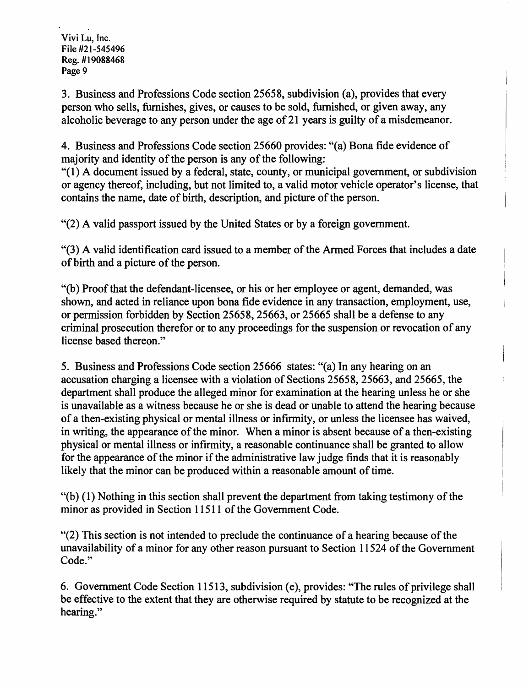3. Business and Professions Code section 25658, subdivision (a), provides that every person who sells, furnishes, gives, or causes to be sold, furnished, or given away, any alcoholic beverage to any person under the age of 21 years is guilty of a misdemeanor.

4. Business and Professions Code section 25660 provides: "( a) Bona fide evidence of majority and identity of the person is any of the following:

"( 1) A document issued by a federal, state, county, or municipal government, or subdivision or agency thereof, including, but not limited to, a valid motor vehicle operator's license, that contains the name, date of birth, description, and picture of the person.

"(2) A valid passport issued by the United States or by a foreign government.

"(3) A valid identification card issued to a member of the Armed Forces that includes a date of birth and a picture of the person.

"(b) Proof that the defendant-licensee, or his or her employee or agent, demanded, was shown, and acted in reliance upon bona fide evidence in any transaction, employment, use, or permission forbidden by Section 25658, 25663, or 25665 shall be a defense to any criminal prosecution therefor or to any proceedings for the suspension or revocation of any license based thereon."

5. Business and Professions Code section 25666 states: "(a) In any hearing on an accusation charging a licensee with a violation of Sections 25658, 25663, and 25665, the department shall produce the alleged minor for examination at the hearing unless he or she is unavailable as a witness because he or she is dead or unable to attend the hearing because of a then-existing physical or mental illness or infirmity, or unless the licensee has waived, in writing, the appearance of the minor. When a minor is absent because of a then-existing physical or mental illness or infirmity, a reasonable continuance shall be granted to allow for the appearance of the minor if the administrative law judge finds that it is reasonably likely that the minor can be produced within a reasonable amount of time.

"(b) ( 1) Nothing in this section shall prevent the department from taking testimony of the minor as provided in Section 11511 of the Government Code.

"(2) This section is not intended to preclude the continuance of a hearing because of the unavailability of a minor for any other reason pursuant to Section 11524 of the Government Code."

6. Government Code Section 11513, subdivision (e), provides: "The rules of privilege shall be effective to the extent that they are otherwise required by statute to be recognized at the hearing."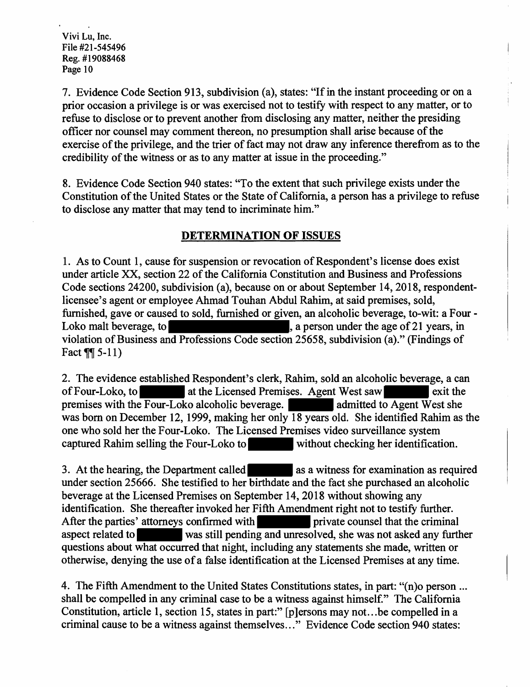7. Evidence Code Section 913, subdivision (a), states: "If in the instant proceeding or on a prior occasion a privilege is or was exercised not to testify with respect to any matter, or to refuse to disclose or to prevent another from disclosing any matter, neither the presiding officer nor counsel may comment thereon, no presumption shall arise because of the exercise of the privilege, and the trier of fact may not draw any inference therefrom as to the credibility of the witness or as to any matter at issue in the proceeding."

8. Evidence Code Section 940 states: "To the extent that such privilege exists under the Constitution of the United States or the State of California, a person has a privilege to refuse to disclose any matter that may tend to incriminate him."

### **DETERMINATION OF ISSUES**

1. As to Count 1, cause for suspension or revocation of Respondent's license does exist under article XX, section 22 of the California Constitution and Business and Professions Code sections 24200, subdivision (a), because on or about September 14, 2018, respondentlicensee's agent or employee Ahmad Touhan Abdul Rahim, at said premises, sold, furnished, gave or caused to sold, furnished or given, an alcoholic beverage, to-wit: a Four - Loko malt beverage, to , a person under the age of 21 years, in violation of Business and Professions Code section 25658, subdivision (a)." (Findings of Fact  $\P$ [ 5-11)

2. The evidence established Respondent's clerk, Rahim, sold an alcoholic beverage, a can of Four-Loko, to at the Licensed Premises. Agent West saw exit the premises with the Four-Loko alcoholic beverage.  $\blacksquare$  admitted to Agent West she was born on December 12, 1999, making her only 18 years old. She identified Rahim as the one who sold her the Four-Loko. The Licensed Premises video surveillance system captured Rahim selling the Four-Loko to without checking her identification.

3. At the hearing, the Department called as a witness for examination as required under section 25666. She testified to her birthdate and the fact she purchased an alcoholic beverage at the Licensed Premises on September 14, 2018 without showing any identification. She thereafter invoked her Fifth Amendment right not to testify further. After the parties' attorneys confirmed with private counsel that the criminal aspect related to was still pending and unresolved, she was not asked any further questions about what occurred that night, including any statements she made, written or otherwise, denying the use of a false identification at the Licensed Premises at any time.

4. The Fifth Amendment to the United States Constitutions states, in part: "(n)o person ... shall be compelled in any criminal case to be a witness against himself." The California Constitution, article 1, section 15, states in part:" [p]ersons may not ... be compelled in a criminal cause to be a witness against themselves ... " Evidence Code section 940 states: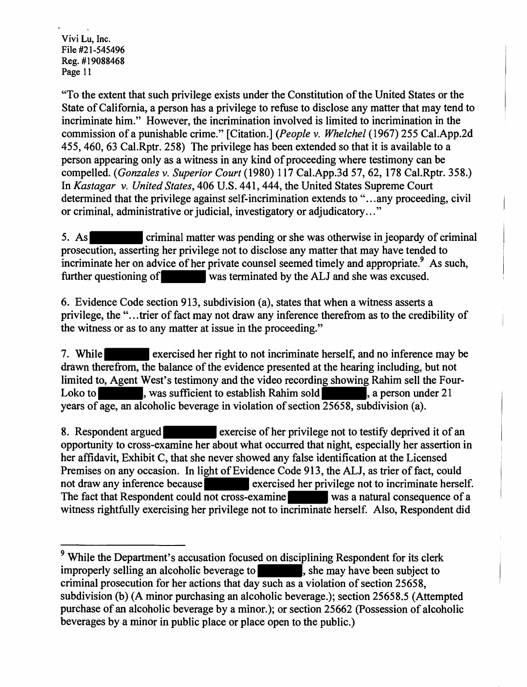"To the extent that such privilege exists under the Constitution of the United States or the State of California, a person has a privilege to refuse to disclose any matter that may tend to incriminate him." However, the incrimination involved is limited to incrimination in the commission of a punishable crime." [Citation.] *(People* v. *Whelchel* (1967) 255 Cal.App.2d 455, 460, 63 Cal.Rptr. 258) The privilege has been extended so that it is available to a person appearing only as a witness in any kind of proceeding where testimony can be compelled. *(Gonzales* v. *Superior Court* (1980) 117 Cal.App.3d 57, 62, 178 Cal.Rptr. 358.) In *Kastagar v. United States,* 406 U.S. 441, 444, the United States Supreme Court determined that the privilege against self-incrimination extends to "... any proceeding, civil or criminal, administrative or judicial, investigatory or adjudicatory ... "

5. As criminal matter was pending or she was otherwise in jeopardy of criminal prosecution, asserting her privilege not to disclose any matter that may have tended to incriminate her on advice of her private counsel seemed timely and appropriate.<sup>9</sup> As such, further questioning of was terminated by the ALJ and she was excused.

6. Evidence Code section 913, subdivision (a), states that when a witness asserts a privilege, the "... trier of fact may not draw any inference therefrom as to the credibility of the witness or as to any matter at issue in the proceeding."

7. While exercised her right to not incriminate herself, and no inference may be drawn therefrom, the balance of the evidence presented at the hearing including, but not limited to, Agent West's testimony and the video recording showing Rahim sell the Four-Loko to , was sufficient to establish Rahim sold , a person under 21 years of age, an alcoholic beverage in violation of section 25658, subdivision (a).

8. Respondent argued exercise of her privilege not to testify deprived it of an opportunity to cross-examine her about what occurred that night, especially her assertion in her affidavit, Exhibit C, that she never showed any false identification at the Licensed Premises on any occasion. In light of Evidence Code 913, the ALJ, as trier of fact, could not draw any inference because exercised her privilege not to incriminate herself. The fact that Respondent could not cross-examine was a natural consequence of a witness rightfully exercising her privilege not to incriminate herself. Also, Respondent did

<sup>&</sup>lt;sup>9</sup> While the Department's accusation focused on disciplining Respondent for its clerk improperly selling an alcoholic beverage to subject to subject to subject to criminal prosecution for her actions that day such as a violation of section 25658, subdivision (b) (A minor purchasing an alcoholic beverage.); section 25658.5 (Attempted purchase of an alcoholic beverage by a minor.); or section 25662 (Possession of alcoholic beverages by a minor in public place or place open to the public.)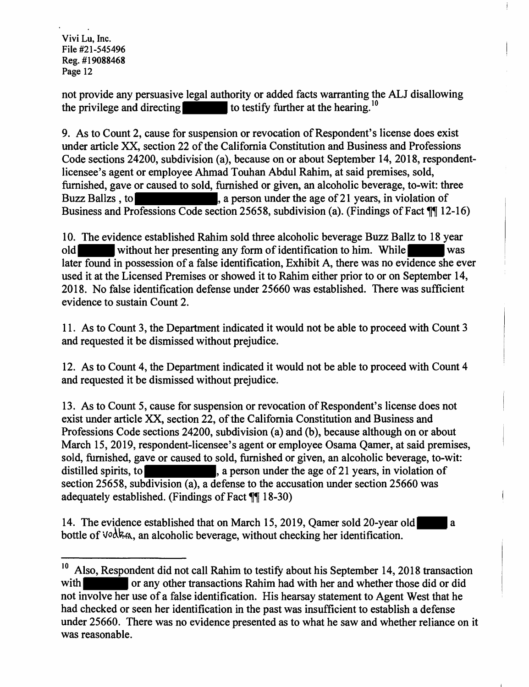not provide any persuasive legal authority or added facts warranting the ALJ disallowing the privilege and directing to testify further at the hearing.  $10$ 

9. As to Count 2, cause for suspension or revocation of Respondent's license does exist under article XX, section 22 of the California Constitution and Business and Professions Code sections 24200, subdivision (a), because on or about September 14, 2018, respondentlicensee's agent or employee Ahmad Touhan Abdul Rahim, at said premises, sold, furnished, gave or caused to sold, furnished or given, an alcoholic beverage, to-wit: three Buzz Ballzs, to , a person under the age of 21 years, in violation of Business and Professions Code section 25658, subdivision (a). (Findings of Fact  $\mathbb{I}$  12-16)

10. The evidence established Rahim sold three alcoholic beverage Buzz Ballz to 18 year old without her presenting any form of identification to him. While was later found in possession of a false identification, Exhibit A, there was no evidence she ever used it at the Licensed Premises or showed it to Rahim either prior to or on September 14, 2018. No false identification defense under 25660 was established. There was sufficient evidence to sustain Count 2.

11. As to Count 3, the Department indicated it would not be able to proceed with Count 3 and requested it be dismissed without prejudice.

12. As to Count 4, the Department indicated it would not be able to proceed with Count 4 and requested it be dismissed without prejudice.

13. As to Count 5, cause for suspension or revocation of Respondent's license does not exist under article XX, section 22, of the California Constitution and Business and Professions Code sections 24200, subdivision (a) and (b), because although on or about March 15, 2019, respondent-licensee's agent or employee Osama Qamer, at said premises, sold, furnished, gave or caused to sold, furnished or given, an alcoholic beverage, to-wit: distilled spirits, to see the spirits, a person under the age of 21 years, in violation of section 25658, subdivision (a), a defense to the accusation under section 25660 was adequately established. (Findings of Fact  $\sqrt{\frac{1}{2} 18-30}$ )

14. The evidence established that on March 15, 2019, Qamer sold 20-year old a bottle of  $\vee$ <sup>2</sup>  $\&$ <sub>6</sub>. an alcoholic beverage, without checking her identification.

<sup>&</sup>lt;sup>10</sup> Also, Respondent did not call Rahim to testify about his September 14, 2018 transaction with or any other transactions Rahim had with her and whether those did or did not involve her use of a false identification. His hearsay statement to Agent West that he had checked or seen her identification in the past was insufficient to establish a defense under 25660. There was no evidence presented as to what he saw and whether reliance on it was reasonable.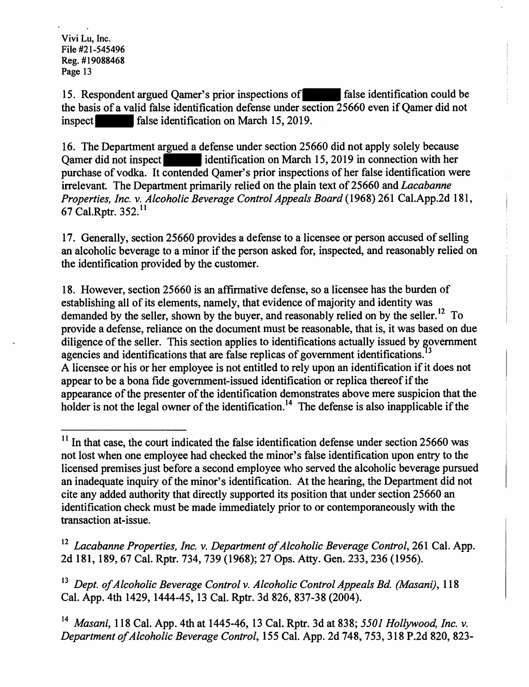15. Respondent argued Qamer's prior inspections of false identification could be the basis of a valid false identification defense under section 25660 even if Qamer did not inspect false identification on March 15, 2019.

16. The Department argued a defense under section 25660 did not apply solely because Qamer did not inspect in identification on March 15, 2019 in connection with her purchase of vodka. It contended Oamer's prior inspections of her false identification were irrelevant. The Department primarily relied on the plain text of 25660 and *Lacabanne Properties, Inc. v. Alcoholic Beverage Control Appeals Board* (1968) 261 Cal.App.2d 181, 67 Cal.Rptr. 352. 11

17. Generally, section 25660 provides a defense to a licensee or person accused of selling an alcoholic beverage to a minor if the person asked for, inspected, and reasonably relied on the identification provided by the customer.

18. However, section 25660 is an affirmative defense, so a licensee has the burden of establishing all of its elements, namely, that evidence of majority and identity was demanded by the seller, shown by the buyer, and reasonably relied on by the seller.<sup>12</sup> To provide a defense, reliance on the document must be reasonable, that is, it was based on due diligence of the seller. This section applies to identifications actually issued by government agencies and identifications that are false replicas of government identifications.<sup>13</sup> A licensee or his or her employee is not entitled to rely upon an identification if it does not appear to be a bona fide government-issued identification or replica thereof if the appearance of the presenter of the identification demonstrates above mere suspicion that the holder is not the legal owner of the identification.<sup>14</sup> The defense is also inapplicable if the

 $11$  In that case, the court indicated the false identification defense under section 25660 was not lost when one employee had checked the minor's false identification upon entry to the licensed premises just before a second employee who served the alcoholic beverage pursued an inadequate inquiry of the minor's identification. At the hearing, the Department did not cite any added authority that directly supported its position that under section 25660 an identification check must be made immediately prior to or contemporaneously with the transaction at-issue.

<sup>&</sup>lt;sup>12</sup> Lacabanne Properties, Inc. v. Department of Alcoholic Beverage Control, 261 Cal. App. 2d 181, 189, 67 Cal. Rptr. 734, 739 (1968); 27 Ops. Atty. Gen. 233,236 (1956).

<sup>&</sup>lt;sup>13</sup> Dept. of Alcoholic Beverage Control v. Alcoholic Control Appeals Bd. (Masani), 118 Cal. App. 4th 1429, 1444-45, 13 Cal. Rptr. 3d 826, 837-38 (2004).

<sup>14</sup>*Masani,* 118 Cal. App. 4th at 1445-46, 13 Cal. Rptr. 3d at 838; *5501 Hollywood, Inc. v. Department of Alcoholic Beverage Control,* 155 Cal. App. 2d 748,753,318 P.2d 820, 823-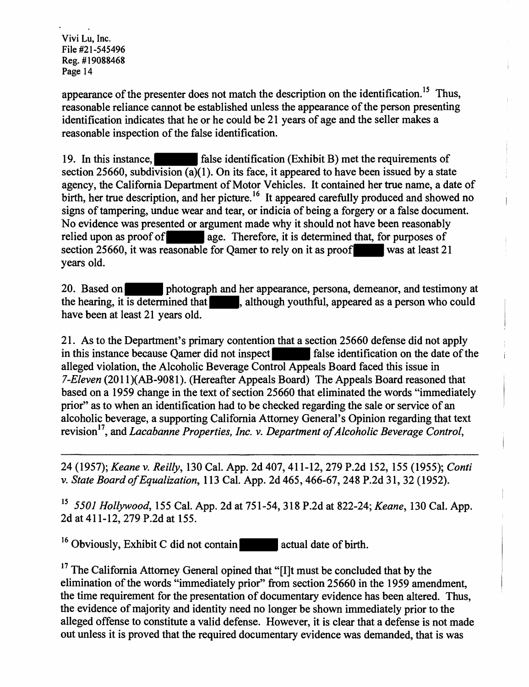appearance of the presenter does not match the description on the identification.<sup>15</sup> Thus, reasonable reliance cannot be established unless the appearance of the person presenting identification indicates that he or he could be 21 years of age and the seller makes a reasonable inspection of the false identification.

19. In this instance, false identification (Exhibit B) met the requirements of section 25660, subdivision (a)(1). On its face, it appeared to have been issued by a state agency, the California Department of Motor Vehicles. It contained her true name, a date of birth, her true description, and her picture.<sup>16</sup> It appeared carefully produced and showed no signs of tampering, undue wear and tear, or indicia of being a forgery or a false document. No evidence was presented or argument made why it should not have been reasonably relied upon as proof of age. Therefore, it is determined that, for purposes of section 25660, it was reasonable for Qamer to rely on it as proof was at least  $21$ years old.

20. Based on **photograph** and her appearance, persona, demeanor, and testimony at the hearing, it is determined that , although youthful, appeared as a person who could have been at least 21 years old.

21. As to the Department's primary contention that a section 25660 defense did not apply in this instance because Qamer did not inspect false identification on the date of the alleged violation, the Alcoholic Beverage Control Appeals Board faced this issue in *7-Eleven* (201 l){AB-9081). (Hereafter Appeals Board) The Appeals Board reasoned that based on a 1959 change in the text of section 25660 that eliminated the words "immediately prior" as to when an identification had to be checked regarding the sale or service of an alcoholic beverage, a supporting California Attorney General's Opinion regarding that text revision 17, and *Lacabanne Properties, Inc. v. Department of Alcoholic Beverage Control,* 

24 (1957); *Keane v. Reilly,* 130 Cal. App. 2d 407, 411-12, 279 P.2d 152, 155 (1955); *Conti v. State Board of Equalization, 113 Cal. App. 2d 465, 466-67, 248 P.2d 31, 32 (1952).* 

<sup>15</sup>*5501 Hollywood,* 155 Cal. App. 2d at 751-54, 318 P.2d at 822-24; *Keane,* 130 Cal. App. 2d at 411-12, 279 P.2d at 155.

 $16$  Obviously, Exhibit C did not contain actual date of birth.

<sup>17</sup> The California Attorney General opined that "[I]t must be concluded that by the elimination of the words "immediately prior" from section 25660 in the 1959 amendment, the time requirement for the presentation of documentary evidence has been altered. Thus, the evidence of majority and identity need no longer be shown immediately prior to the alleged offense to constitute a valid defense. However, it is clear that a defense is not made out unless it is proved that the required documentary evidence was demanded, that is was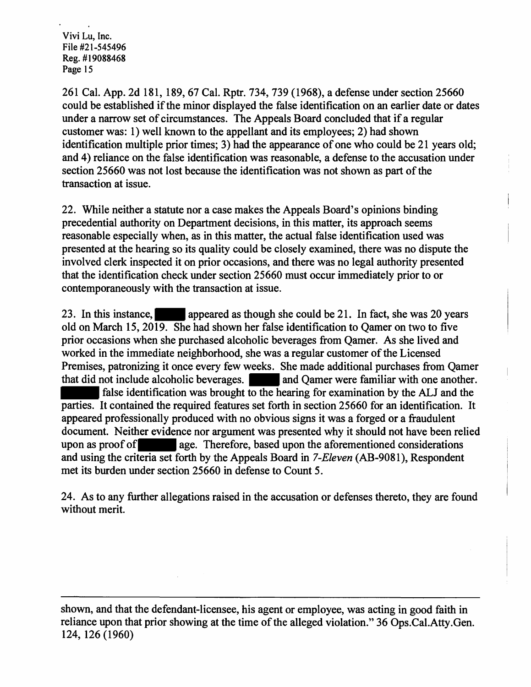261 Cal. App. 2d 181, 189, 67 Cal. Rptr. 734, 739 (1968), a defense under section 25660 could be established if the minor displayed the false identification on an earlier date or dates under a narrow set of circumstances. The Appeals Board concluded that if a regular customer was: 1) well known to the appellant and its employees; 2) had shown identification multiple prior times; 3) had the appearance of one who could be 21 years old; and 4) reliance on the false identification was reasonable, a defense to the accusation under section 25660 was not lost because the identification was not shown as part of the transaction at issue.

22. While neither a statute nor a case makes the Appeals Board's opinions binding precedential authority on Department decisions, in this matter, its approach seems reasonable especially when, as in this matter, the actual false identification used was presented at the hearing so its quality could be closely examined, there was no dispute the involved clerk inspected it on prior occasions, and there was no legal authority presented that the identification check under section 25660 must occur immediately prior to or contemporaneously with the transaction at issue.

23. In this instance, appeared as though she could be 21. In fact, she was 20 years old on March 15, 2019. She had shown her false identification to Qamer on two to five prior occasions when she purchased alcoholic beverages from Qamer. As she lived and worked in the immediate neighborhood, she was a regular customer of the Licensed Premises, patronizing it once every few weeks. She made additional purchases from Qamer that did not include alcoholic beverages. **All and Qamer were familiar with one another.** false identification was brought to the hearing for examination by the ALJ and the parties. It contained the required features set forth in section 25660 for an identification. It appeared professionally produced with no obvious signs it was a forged or a fraudulent document. Neither evidence nor argument was presented why it should not have been relied upon as proof of age. Therefore, based upon the aforementioned considerations and using the criteria set forth by the Appeals Board in *7-Eleven* (AB-9081), Respondent met its burden under section 25660 in defense to Count 5.

24. As to any further allegations raised in the accusation or defenses thereto, they are found without merit.

shown, and that the defendant-licensee, his agent or employee, was acting in good faith in reliance upon that prior showing at the time of the alleged violation." 36 Ops.Cal.Atty.Gen. 124, 126 (1960)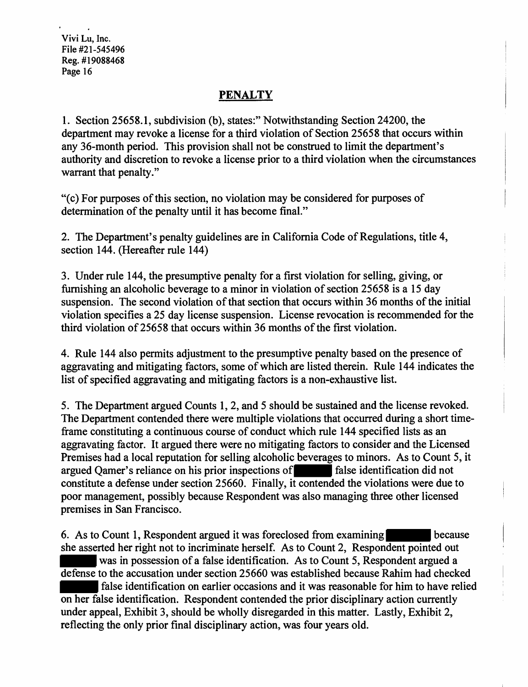## **PENALTY**

1. Section 25658.1, subdivision (b), states:" Notwithstanding Section 24200, the department may revoke a license for a third violation of Section 25658 that occurs within any 36-month period. This provision shall not be construed to limit the department's authority and discretion to revoke a license prior to a third violation when the circumstances warrant that penalty."

"(c) For purposes of this section, no violation may be considered for purposes of determination of the penalty until it has become final."

2. The Department's penalty guidelines are in California Code of Regulations, title 4, section 144. (Hereafter rule 144)

3. Under rule 144, the presumptive penalty for a first violation for selling, giving, or furnishing an alcoholic beverage to a minor in violation of section 25658 is a 15 day suspension. The second violation of that section that occurs within 36 months of the initial violation specifies a 25 day license suspension. License revocation is recommended for the third violation of 25658 that occurs within 36 months of the first violation.

4. Rule 144 also permits adjustment to the presumptive penalty based on the presence of aggravating and mitigating factors, some of which are listed therein. Rule 144 indicates the list of specified aggravating and mitigating factors is a non-exhaustive list.

5. The Department argued Counts 1, 2, and 5 should be sustained and the license revoked. The Department contended there were multiple violations that occurred during a short timeframe constituting a continuous course of conduct which rule 144 specified lists as an aggravating factor. It argued there were no mitigating factors to consider and the Licensed Premises had a local reputation for selling alcoholic beverages to minors. As to Count 5, it argued Qamer's reliance on his prior inspections of false identification did not constitute a defense under section 25660. Finally, it contended the violations were due to poor management, possibly because Respondent was also managing three other licensed premises in San Francisco.

6. As to Count 1, Respondent argued it was foreclosed from examining because she asserted her right not to incriminate herself. As to Count 2, Respondent pointed out was in possession of a false identification. As to Count 5, Respondent argued a defense to the accusation under section 25660 was established because Rahim had checked false identification on earlier occasions and it was reasonable for him to have relied on her false identification. Respondent contended the prior disciplinary action currently under appeal, Exhibit 3, should be wholly disregarded in this matter. Lastly, Exhibit 2, reflecting the only prior final disciplinary action, was four years old.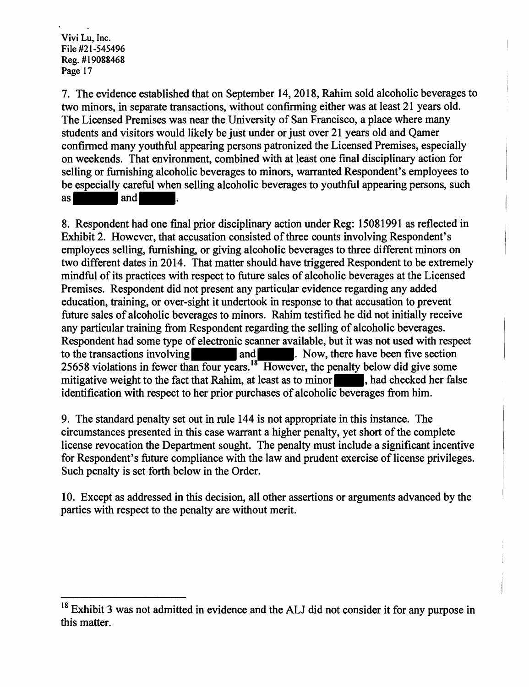7. The evidence established that on September 14, 2018, Rahim sold alcoholic beverages to two minors, in separate transactions, without confirming either was at least 21 years old. The Licensed Premises was near the University of San Francisco, a place where many students and visitors would likely be just under or just over 21 years old and Qamer confirmed many youthful appearing persons patronized the Licensed Premises, especially on weekends. That environment, combined with at least one final disciplinary action for selling or furnishing alcoholic beverages to minors, warranted Respondent's employees to be especially careful when selling alcoholic beverages to youthful appearing persons, such as and ...

8. Respondent had one final prior disciplinary action under Reg: 15081991 as reflected in Exhibit 2. However, that accusation consisted of three counts involving Respondent's employees selling, furnishing, or giving alcoholic beverages to three different minors on two different dates in 2014. That matter should have triggered Respondent to be extremely mindful of its practices with respect to future sales of alcoholic beverages at the Licensed Premises. Respondent did not present any particular evidence regarding any added education, training, or over-sight it undertook in response to that accusation to prevent future sales of alcoholic beverages to minors. Rahim testified he did not initially receive any particular training from Respondent regarding the selling of alcoholic beverages. Respondent had some type of electronic scanner available, but it was not used with respect to the transactions involving and and . Now, there have been five section 25658 violations in fewer than four years.<sup>18</sup> However, the penalty below did give some mitigative weight to the fact that Rahim, at least as to minor , had checked her false identification with respect to her prior purchases of alcoholic beverages from him.

9. The standard penalty set out in rule 144 is not appropriate in this instance. The circumstances presented in this case warrant a higher penalty, yet short of the complete license revocation the Department sought. The penalty must include a significant incentive for Respondent's future compliance with the law and prudent exercise of license privileges. Such penalty is set forth below in the Order.

10. Except as addressed in this decision, all other assertions or arguments advanced by the parties with respect to the penalty are without merit.

<sup>&</sup>lt;sup>18</sup> Exhibit 3 was not admitted in evidence and the ALJ did not consider it for any purpose in this matter.